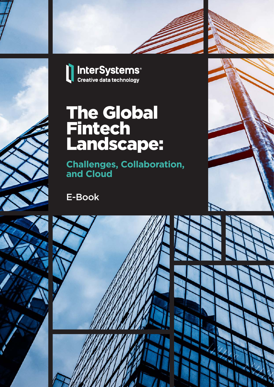





# The Global **Fintech** Landscape:

**Challenges, Collaboration, and Cloud**

E-Book



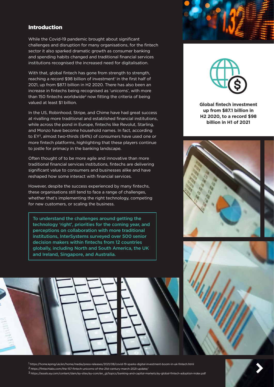## Introduction

While the Covid-19 pandemic brought about significant challenges and disruption for many organisations, for the fintech sector it also sparked dramatic growth as consumer banking and spending habits changed and traditional financial services institutions recognised the increased need for digitalisation.

With that, global fintech has gone from strength to strength, reaching a record \$98 billion of investment<sup>1</sup> in the first half of 2021, up from \$87.1 billion in H2 2020. There has also been an increase in fintechs being recognised as 'unicorns', with more than 150 fintechs worldwide<sup>2</sup> now fitting the criteria of being valued at least \$1 billion.

In the US, Robinhood, Stripe, and Chime have had great success at rivalling more traditional and established financial institutions, while across the pond in Europe, fintechs like Revolut, Starling, and Monzo have become household names. In fact, according to EY3, almost two-thirds (64%) of consumers have used one or more fintech platforms, highlighting that these players continue to jostle for primacy in the banking landscape.

Often thought of to be more agile and innovative than more traditional financial services institutions, fintechs are delivering significant value to consumers and businesses alike and have reshaped how some interact with financial services.

However, despite the success experienced by many fintechs, these organisations still tend to face a range of challenges, whether that's implementing the right technology, competing for new customers, or scaling the business.

To understand the challenges around getting the technology 'right', priorities for the coming year, and perceptions on collaboration with more traditional institutions, InterSystems surveyed over 500 senior decision makers within fintechs from 12 countries globally, including North and South America, the UK and Ireland, Singapore, and Australia.







**Global fintech investment up from \$87.1 billion in H2 2020, to a record \$98 billion in H1 of 2021**





1 https://home.kpmg/uk/en/home/media/press-releases/2021/08/covid-19-sparks-digital-investment-boom-in-uk-fintech.html

2 https://fintechlabs.com/the-157-fintech-unicorns-of-the-21st-century-march-2021-update/

3 https://assets.ey.com/content/dam/ey-sites/ey-com/en\_gl/topics/banking-and-capital-markets/ey-global-fintech-adoption-index.pdf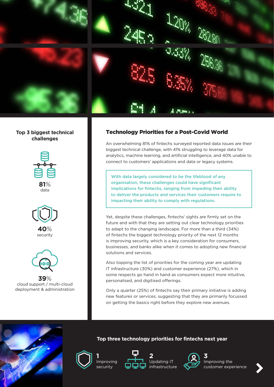

## **Top 3 biggest technical challenges**





**40**% security



**39**% cloud support / multi-cloud deployment & administration

# Technology Priorities for a Post-Covid World

An overwhelming 81% of fintechs surveyed reported data issues are their biggest technical challenge, with 41% struggling to leverage data for analytics, machine learning, and artificial intelligence, and 40% unable to connect to customers' applications and data or legacy systems.

With data largely considered to be the lifeblood of any organisation, these challenges could have significant implications for fintechs, ranging from impeding their ability to deliver the products and services their customers require to impacting their ability to comply with regulations.

Yet, despite these challenges, fintechs' sights are firmly set on the future and with that they are setting out clear technology priorities to adapt to the changing landscape. For more than a third (34%) of fintechs the biggest technology priority of the next 12 months is improving security, which is a key consideration for consumers, businesses, and banks alike when it comes to adopting new financial solutions and services.

Also topping the list of priorities for the coming year are updating IT infrastructure (30%) and customer experience (27%), which in some respects go hand in hand as consumers expect more intuitive, personalised, and digitised offerings.

Only a quarter (25%) of fintechs say their primary initiative is adding new features or services, suggesting that they are primarily focussed on getting the basics right before they explore new avenues.





**1** Improving security





**Top three technology priorities for fintechs next year**



Improving the customer experience

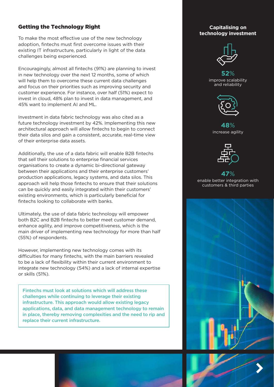## Getting the Technology Right

To make the most effective use of the new technology adoption, fintechs must first overcome issues with their existing IT infrastructure, particularly in light of the data challenges being experienced.

Encouragingly, almost all fintechs (91%) are planning to invest in new technology over the next 12 months, some of which will help them to overcome these current data challenges and focus on their priorities such as improving security and customer experience. For instance, over half (51%) expect to invest in cloud, 48% plan to invest in data management, and 45% want to implement AI and ML.

Investment in data fabric technology was also cited as a future technology investment by 42%. Implementing this new architectural approach will allow fintechs to begin to connect their data silos and gain a consistent, accurate, real-time view of their enterprise data assets.

Additionally, the use of a data fabric will enable B2B fintechs that sell their solutions to enterprise financial services organisations to create a dynamic bi-directional gateway between their applications and their enterprise customers' production applications, legacy systems, and data silos. This approach will help those fintechs to ensure that their solutions can be quickly and easily integrated within their customers' existing environments, which is particularly beneficial for fintechs looking to collaborate with banks.

Ultimately, the use of data fabric technology will empower both B2C and B2B fintechs to better meet customer demand, enhance agility, and improve competitiveness, which is the main driver of implementing new technology for more than half (55%) of respondents.

However, implementing new technology comes with its difficulties for many fintechs, with the main barriers revealed to be a lack of flexibility within their current environment to integrate new technology (54%) and a lack of internal expertise or skills (51%).

Fintechs must look at solutions which will address these challenges while continuing to leverage their existing infrastructure. This approach would allow existing legacy applications, data, and data management technology to remain in place, thereby removing complexities and the need to rip and replace their current infrastructure.

#### **Capitalising on technology investment**



**52**% improve scalability and reliability



**48**% increase agility



#### **47**% enable better integration with customers & third parties

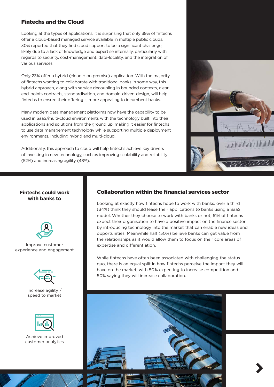## Fintechs and the Cloud

Looking at the types of applications, it is surprising that only 39% of fintechs offer a cloud-based managed service available in multiple public clouds. 30% reported that they find cloud support to be a significant challenge, likely due to a lack of knowledge and expertise internally, particularly with regards to security, cost-management, data-locality, and the integration of various services.

Only 23% offer a hybrid (cloud + on premise) application. With the majority of fintechs wanting to collaborate with traditional banks in some way, this hybrid approach, along with service decoupling in bounded contexts, clear end-points contracts, standardisation, and domain-driven-design, will help fintechs to ensure their offering is more appealing to incumbent banks.

Many modern data management platforms now have the capability to be used in SaaS/multi-cloud environments with the technology built into their applications and solutions from the ground up, making it easier for fintechs to use data management technology while supporting multiple deployment environments, including hybrid and multi-cloud.

Additionally, this approach to cloud will help fintechs achieve key drivers of investing in new technology, such as improving scalability and reliability (52%) and increasing agility (48%).



### **Fintechs could work with banks to**



Improve customer experience and engagement



Increase agility / speed to market



Achieve improved customer analytics

## Collaboration within the financial services sector

Looking at exactly how fintechs hope to work with banks, over a third (34%) think they should lease their applications to banks using a SaaS model. Whether they choose to work with banks or not, 61% of fintechs expect their organisation to have a positive impact on the finance sector by introducing technology into the market that can enable new ideas and opportunities. Meanwhile half (50%) believe banks can get value from the relationships as it would allow them to focus on their core areas of expertise and differentiation.

While fintechs have often been associated with challenging the status quo, there is an equal split in how fintechs perceive the impact they will have on the market, with 50% expecting to increase competition and 50% saying they will increase collaboration.